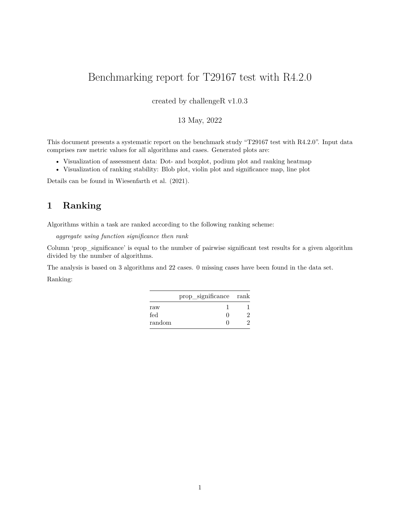# Benchmarking report for T29167 test with R4.2.0

created by challengeR v1.0.3

#### 13 May, 2022

This document presents a systematic report on the benchmark study "T29167 test with R4.2.0". Input data comprises raw metric values for all algorithms and cases. Generated plots are:

- Visualization of assessment data: Dot- and boxplot, podium plot and ranking heatmap
- Visualization of ranking stability: Blob plot, violin plot and significance map, line plot

Details can be found in Wiesenfarth et al. (2021).

### **1 Ranking**

Algorithms within a task are ranked according to the following ranking scheme:

*aggregate using function significance then rank*

Column 'prop\_significance' is equal to the number of pairwise significant test results for a given algorithm divided by the number of algorithms.

The analysis is based on 3 algorithms and 22 cases. 0 missing cases have been found in the data set.

Ranking:

|                      | prop_significance rank |  |
|----------------------|------------------------|--|
| $\operatorname{raw}$ |                        |  |
| fed                  | . .                    |  |
| $_{\rm random}$      |                        |  |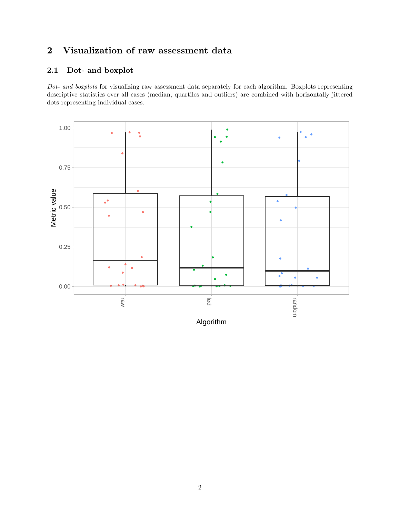# **2 Visualization of raw assessment data**

# **2.1 Dot- and boxplot**

*Dot- and boxplots* for visualizing raw assessment data separately for each algorithm. Boxplots representing descriptive statistics over all cases (median, quartiles and outliers) are combined with horizontally jittered dots representing individual cases.



Algorithm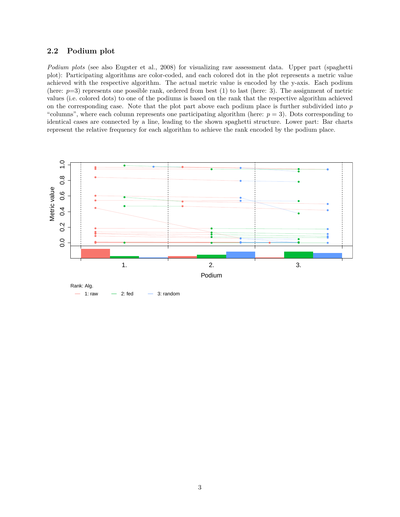#### **2.2 Podium plot**

*Podium plots* (see also Eugster et al., 2008) for visualizing raw assessment data. Upper part (spaghetti plot): Participating algorithms are color-coded, and each colored dot in the plot represents a metric value achieved with the respective algorithm. The actual metric value is encoded by the y-axis. Each podium (here:  $p=3$ ) represents one possible rank, ordered from best (1) to last (here: 3). The assignment of metric values (i.e. colored dots) to one of the podiums is based on the rank that the respective algorithm achieved on the corresponding case. Note that the plot part above each podium place is further subdivided into *p* "columns", where each column represents one participating algorithm (here:  $p = 3$ ). Dots corresponding to identical cases are connected by a line, leading to the shown spaghetti structure. Lower part: Bar charts represent the relative frequency for each algorithm to achieve the rank encoded by the podium place.

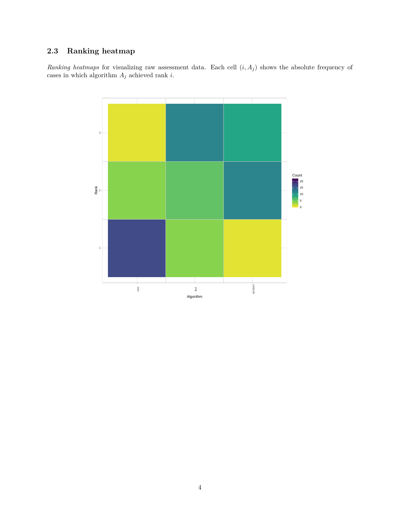### **2.3 Ranking heatmap**

*Ranking heatmaps* for visualizing raw assessment data. Each cell  $(i, A_j)$  shows the absolute frequency of cases in which algorithm  $A_j$  achieved rank  $i.$ 

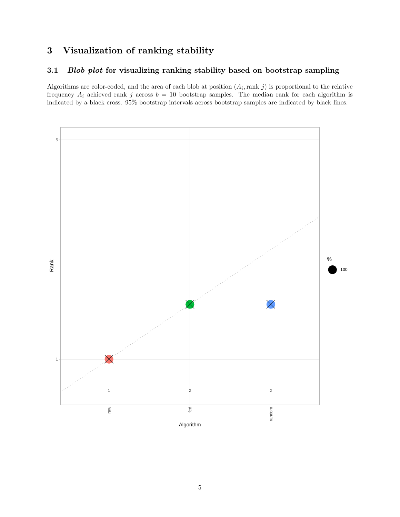# **3 Visualization of ranking stability**

#### **3.1** *Blob plot* **for visualizing ranking stability based on bootstrap sampling**

Algorithms are color-coded, and the area of each blob at position  $(A_i, \text{rank } j)$  is proportional to the relative frequency  $A_i$  achieved rank *j* across  $b = 10$  bootstrap samples. The median rank for each algorithm is indicated by a black cross. 95% bootstrap intervals across bootstrap samples are indicated by black lines.

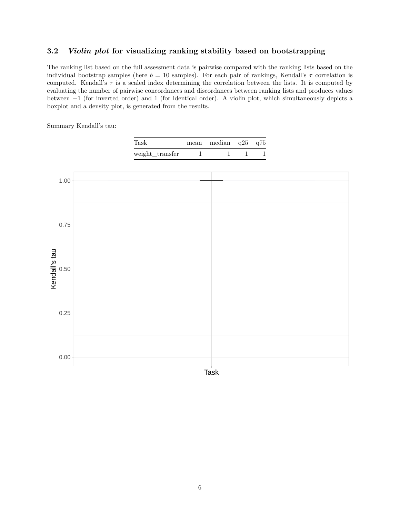#### **3.2** *Violin plot* **for visualizing ranking stability based on bootstrapping**

The ranking list based on the full assessment data is pairwise compared with the ranking lists based on the individual bootstrap samples (here  $b = 10$  samples). For each pair of rankings, Kendall's  $\tau$  correlation is computed. Kendall's *τ* is a scaled index determining the correlation between the lists. It is computed by evaluating the number of pairwise concordances and discordances between ranking lists and produces values between −1 (for inverted order) and 1 (for identical order). A violin plot, which simultaneously depicts a boxplot and a density plot, is generated from the results.

Summary Kendall's tau:

| ${\rm Task}$    | mean median $q25 \t q75$ |  |
|-----------------|--------------------------|--|
| weight_transfer |                          |  |



6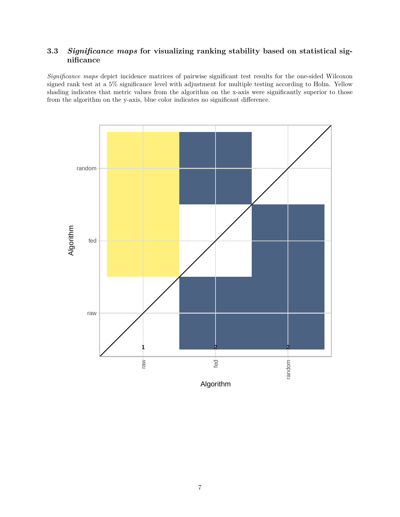### **3.3** *Significance maps* **for visualizing ranking stability based on statistical significance**

*Significance maps* depict incidence matrices of pairwise significant test results for the one-sided Wilcoxon signed rank test at a 5% significance level with adjustment for multiple testing according to Holm. Yellow shading indicates that metric values from the algorithm on the x-axis were significantly superior to those from the algorithm on the y-axis, blue color indicates no significant difference.

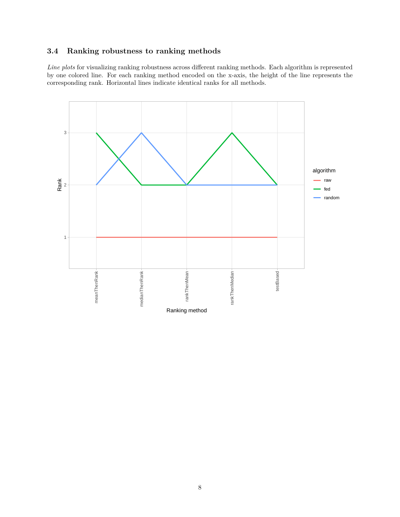### **3.4 Ranking robustness to ranking methods**

*Line plots* for visualizing ranking robustness across different ranking methods. Each algorithm is represented by one colored line. For each ranking method encoded on the x-axis, the height of the line represents the corresponding rank. Horizontal lines indicate identical ranks for all methods.